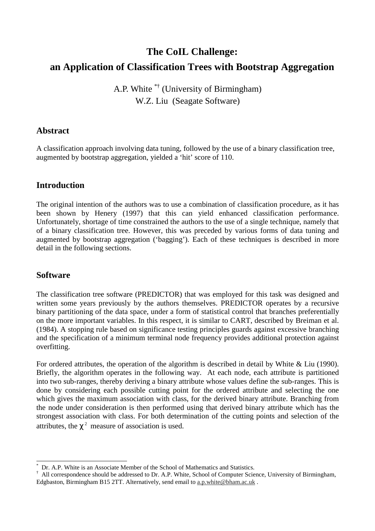# **The CoIL Challenge: an Application of Classification Trees with Bootstrap Aggregation**

# A.P. White \*† (University of Birmingham) W.Z. Liu (Seagate Software)

#### **Abstract**

A classification approach involving data tuning, followed by the use of a binary classification tree, augmented by bootstrap aggregation, yielded a 'hit' score of 110.

# **Introduction**

The original intention of the authors was to use a combination of classification procedure, as it has been shown by Henery (1997) that this can yield enhanced classification performance. Unfortunately, shortage of time constrained the authors to the use of a single technique, namely that of a binary classification tree. However, this was preceded by various forms of data tuning and augmented by bootstrap aggregation ('bagging'). Each of these techniques is described in more detail in the following sections.

# **Software**

The classification tree software (PREDICTOR) that was employed for this task was designed and written some years previously by the authors themselves. PREDICTOR operates by a recursive binary partitioning of the data space, under a form of statistical control that branches preferentially on the more important variables. In this respect, it is similar to CART, described by Breiman et al. (1984). A stopping rule based on significance testing principles guards against excessive branching and the specification of a minimum terminal node frequency provides additional protection against overfitting.

For ordered attributes, the operation of the algorithm is described in detail by White & Liu (1990). Briefly, the algorithm operates in the following way. At each node, each attribute is partitioned into two sub-ranges, thereby deriving a binary attribute whose values define the sub-ranges. This is done by considering each possible cutting point for the ordered attribute and selecting the one which gives the maximum association with class, for the derived binary attribute. Branching from the node under consideration is then performed using that derived binary attribute which has the strongest association with class. For both determination of the cutting points and selection of the attributes, the  $\chi^2$  measure of association is used.

<sup>-</sup>\* Dr. A.P. White is an Associate Member of the School of Mathematics and Statistics.

<sup>†</sup> All correspondence should be addressed to Dr. A.P. White, School of Computer Science, University of Birmingham, Edgbaston, Birmingham B15 2TT. Alternatively, send email to a.p.white@bham.ac.uk.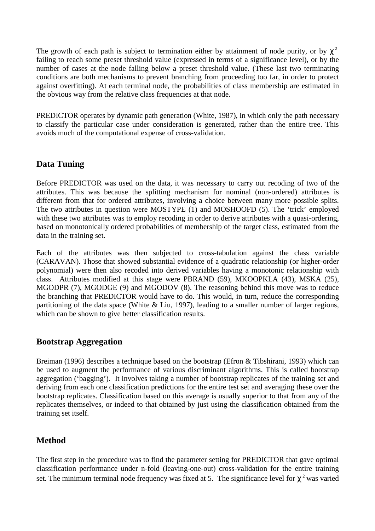The growth of each path is subject to termination either by attainment of node purity, or by  $\chi^2$ failing to reach some preset threshold value (expressed in terms of a significance level), or by the number of cases at the node falling below a preset threshold value. (These last two terminating conditions are both mechanisms to prevent branching from proceeding too far, in order to protect against overfitting). At each terminal node, the probabilities of class membership are estimated in the obvious way from the relative class frequencies at that node.

PREDICTOR operates by dynamic path generation (White, 1987), in which only the path necessary to classify the particular case under consideration is generated, rather than the entire tree. This avoids much of the computational expense of cross-validation.

#### **Data Tuning**

Before PREDICTOR was used on the data, it was necessary to carry out recoding of two of the attributes. This was because the splitting mechanism for nominal (non-ordered) attributes is different from that for ordered attributes, involving a choice between many more possible splits. The two attributes in question were MOSTYPE (1) and MOSHOOFD (5). The 'trick' employed with these two attributes was to employ recoding in order to derive attributes with a quasi-ordering, based on monotonically ordered probabilities of membership of the target class, estimated from the data in the training set.

Each of the attributes was then subjected to cross-tabulation against the class variable (CARAVAN). Those that showed substantial evidence of a quadratic relationship (or higher-order polynomial) were then also recoded into derived variables having a monotonic relationship with class. Attributes modified at this stage were PBRAND (59), MKOOPKLA (43), MSKA (25), MGODPR (7), MGODGE (9) and MGODOV (8). The reasoning behind this move was to reduce the branching that PREDICTOR would have to do. This would, in turn, reduce the corresponding partitioning of the data space (White  $& Liu, 1997$ ), leading to a smaller number of larger regions, which can be shown to give better classification results.

# **Bootstrap Aggregation**

Breiman (1996) describes a technique based on the bootstrap (Efron & Tibshirani, 1993) which can be used to augment the performance of various discriminant algorithms. This is called bootstrap aggregation ('bagging'). It involves taking a number of bootstrap replicates of the training set and deriving from each one classification predictions for the entire test set and averaging these over the bootstrap replicates. Classification based on this average is usually superior to that from any of the replicates themselves, or indeed to that obtained by just using the classification obtained from the training set itself.

# **Method**

The first step in the procedure was to find the parameter setting for PREDICTOR that gave optimal classification performance under n-fold (leaving-one-out) cross-validation for the entire training set. The minimum terminal node frequency was fixed at 5. The significance level for  $\chi^2$  was varied